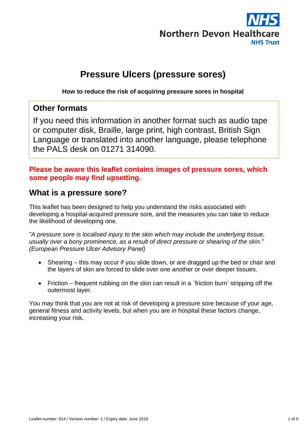

# **Pressure Ulcers (pressure sores)**

**How to reduce the risk of acquiring pressure sores in hospital** 

### **Other formats**

If you need this information in another format such as audio tape or computer disk, Braille, large print, high contrast, British Sign Language or translated into another language, please telephone the PALS desk on 01271 314090.

#### **Please be aware this leaflet contains images of pressure sores, which some people may find upsetting.**

#### **What is a pressure sore?**

This leaflet has been designed to help you understand the risks associated with developing a hospital-acquired pressure sore, and the measures you can take to reduce the likelihood of developing one.

*"A pressure sore is localised injury to the skin which may include the underlying tissue, usually over a bony prominence, as a result of direct pressure or shearing of the skin." (European Pressure Ulcer Advisory Panel)* 

- Shearing this may occur if you slide down, or are dragged up the bed or chair and the layers of skin are forced to slide over one another or over deeper tissues.
- Friction frequent rubbing on the skin can result in a `friction burn' stripping off the outermost layer.

You may think that you are not at risk of developing a pressure sore because of your age, general fitness and activity levels, but when you are in hospital these factors change, increasing your risk.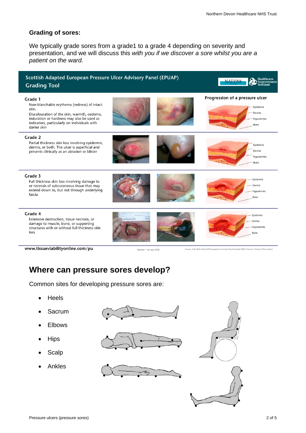#### **Grading of sores:**

We typically grade sores from a grade1 to a grade 4 depending on severity and presentation, and we will discuss this *with you if we discover a sore whilst you are a patient on the ward.* 



Version 1 1st July 2009

Images: Colin Blain Medical Photographer Inverclyde Royal Hospital (IRH) Greenock / Science Photo Library

#### **Where can pressure sores develop?**

Common sites for developing pressure sores are:

- Heels
- Sacrum
- Elbows
- **Hips**
- **Scalp**
- Ankles







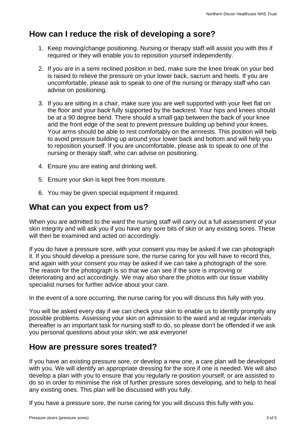## **How can I reduce the risk of developing a sore?**

- 1. Keep moving/change positioning. Nursing or therapy staff will assist you with this if required or they will enable you to reposition yourself independently.
- 2. If you are in a semi reclined position in bed, make sure the knee break on your bed is raised to relieve the pressure on your lower back, sacrum and heels. If you are uncomfortable, please ask to speak to one of the nursing or therapy staff who can advise on positioning.
- 3. If you are sitting in a chair, make sure you are well supported with your feet flat on the floor and your back fully supported by the backrest. Your hips and knees should be at a 90 degree bend. There should a small gap between the back of your knee and the front edge of the seat to prevent pressure building up behind your knees. Your arms should be able to rest comfortably on the armrests. This position will help to avoid pressure building up around your lower back and bottom and will help you to reposition yourself. If you are uncomfortable, please ask to speak to one of the nursing or therapy staff, who can advise on positioning.
- 4. Ensure you are eating and drinking well.
- 5. Ensure your skin is kept free from moisture.
- 6. You may be given special equipment if required.

## **What can you expect from us?**

When you are admitted to the ward the nursing staff will carry out a full assessment of your skin integrity and will ask you if you have any sore bits of skin or any existing sores. These will then be examined and acted on accordingly.

If you do have a pressure sore, with your consent you may be asked if we can photograph it*.* If you should develop a pressure sore, the nurse caring for you will have to record this, and again with your consent you may be asked if we can take a photograph of the sore. The reason for the photograph is so that we can see if the sore is improving or deteriorating and act accordingly. We may also share the photos with our tissue viability specialist nurses for further advice about your care.

In the event of a sore occurring, the nurse caring for you will discuss this fully with you.

You will be asked every day if we can check your skin to enable us to identify promptly any possible problems. Assessing your skin on admission to the ward and at regular intervals thereafter is an important task for nursing staff to do, so please don't be offended if we ask you personal questions about your skin; we ask everyone!

#### **How are pressure sores treated?**

If you have an existing pressure sore, or develop a new one, a care plan will be developed with you. We will identify an appropriate dressing for the sore if one is needed. We will also develop a plan with you to ensure that you regularly re-position yourself, or are assisted to do so in order to minimise the risk of further pressure sores developing, and to help to heal any existing ones. This plan will be discussed with you fully.

If you have a pressure sore, the nurse caring for you will discuss this fully with you.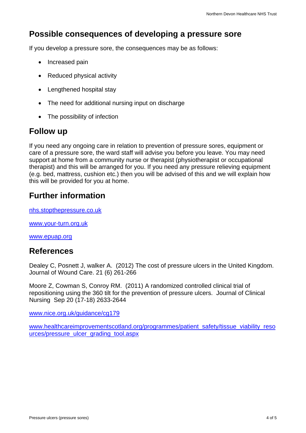## **Possible consequences of developing a pressure sore**

If you develop a pressure sore, the consequences may be as follows:

- Increased pain
- Reduced physical activity
- Lengthened hospital stay
- The need for additional nursing input on discharge
- The possibility of infection

## **Follow up**

If you need any ongoing care in relation to prevention of pressure sores, equipment or care of a pressure sore, the ward staff will advise you before you leave. You may need support at home from a community nurse or therapist (physiotherapist or occupational therapist) and this will be arranged for you. If you need any pressure relieving equipment (e.g. bed, mattress, cushion etc.) then you will be advised of this and we will explain how this will be provided for you at home.

## **Further information**

nhs.stopthepressure.co.uk

www.your-turn.org.uk

www.epuap.org

#### **References**

Dealey C, Posnett J, walker A. (2012) The cost of pressure ulcers in the United Kingdom. Journal of Wound Care. 21 (6) 261-266

Moore Z, Cowman S, Conroy RM. (2011) A randomized controlled clinical trial of repositioning using the 360 tilt for the prevention of pressure ulcers. Journal of Clinical Nursing Sep 20 (17-18) 2633-2644

www.nice.org.uk/guidance/cg179

www.healthcareimprovementscotland.org/programmes/patient\_safety/tissue\_viability\_reso urces/pressure\_ulcer\_grading\_tool.aspx